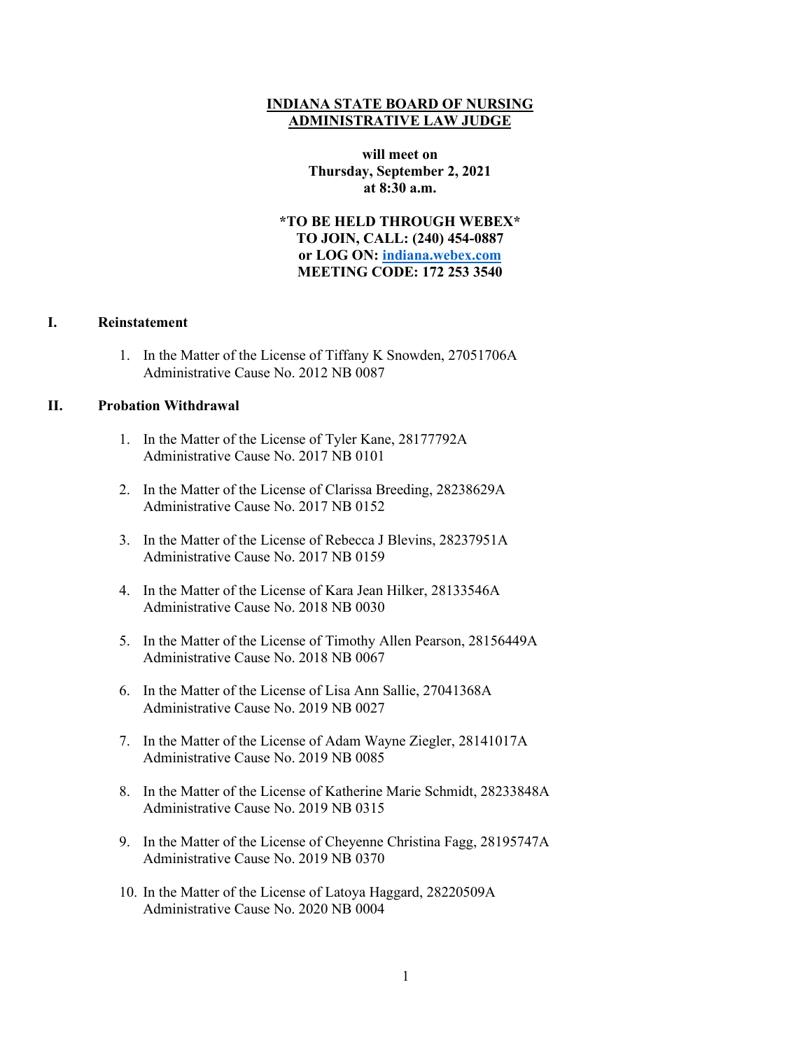## **INDIANA STATE BOARD OF NURSING ADMINISTRATIVE LAW JUDGE**

**will meet on Thursday, September 2, 2021 at 8:30 a.m.**

**\*TO BE HELD THROUGH WEBEX\* TO JOIN, CALL: (240) 454-0887 or LOG ON: [indiana.webex.com](https://indiana.webex.com/webappng/sites/indiana/dashboard?siteurl=indiana) MEETING CODE: 172 253 3540**

## **I. Reinstatement**

1. In the Matter of the License of Tiffany K Snowden, 27051706A Administrative Cause No. 2012 NB 0087

## **II. Probation Withdrawal**

- 1. In the Matter of the License of Tyler Kane, 28177792A Administrative Cause No. 2017 NB 0101
- 2. In the Matter of the License of Clarissa Breeding, 28238629A Administrative Cause No. 2017 NB 0152
- 3. In the Matter of the License of Rebecca J Blevins, 28237951A Administrative Cause No. 2017 NB 0159
- 4. In the Matter of the License of Kara Jean Hilker, 28133546A Administrative Cause No. 2018 NB 0030
- 5. In the Matter of the License of Timothy Allen Pearson, 28156449A Administrative Cause No. 2018 NB 0067
- 6. In the Matter of the License of Lisa Ann Sallie, 27041368A Administrative Cause No. 2019 NB 0027
- 7. In the Matter of the License of Adam Wayne Ziegler, 28141017A Administrative Cause No. 2019 NB 0085
- 8. In the Matter of the License of Katherine Marie Schmidt, 28233848A Administrative Cause No. 2019 NB 0315
- 9. In the Matter of the License of Cheyenne Christina Fagg, 28195747A Administrative Cause No. 2019 NB 0370
- 10. In the Matter of the License of Latoya Haggard, 28220509A Administrative Cause No. 2020 NB 0004